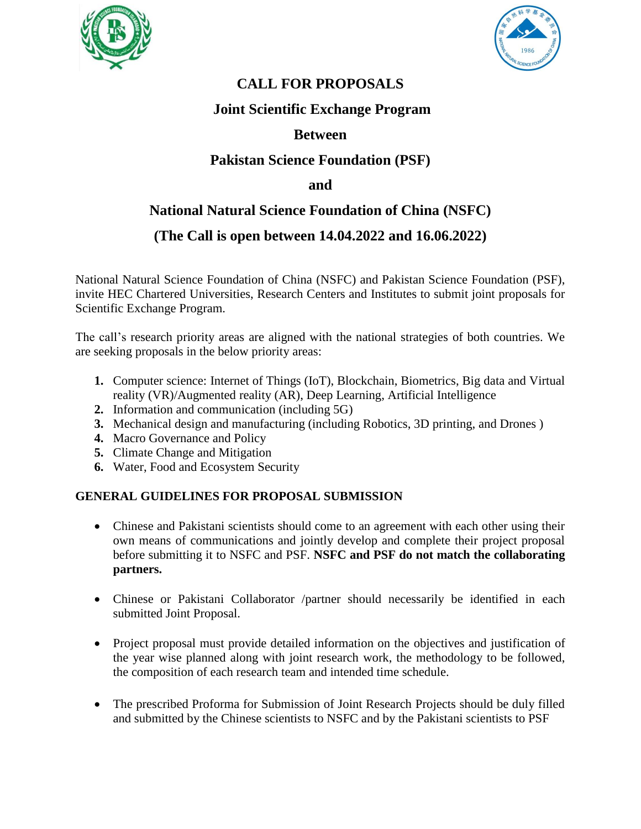



# **CALL FOR PROPOSALS**

## **Joint Scientific Exchange Program**

### **Between**

## **Pakistan Science Foundation (PSF)**

### **and**

# **National Natural Science Foundation of China (NSFC)**

### **(The Call is open between 14.04.2022 and 16.06.2022)**

National Natural Science Foundation of China (NSFC) and Pakistan Science Foundation (PSF), invite HEC Chartered Universities, Research Centers and Institutes to submit joint proposals for Scientific Exchange Program.

The call's research priority areas are aligned with the national strategies of both countries. We are seeking proposals in the below priority areas:

- **1.** Computer science: Internet of Things (IoT), Blockchain, Biometrics, Big data and Virtual reality (VR)/Augmented reality (AR), Deep Learning, Artificial Intelligence
- **2.** Information and communication (including 5G)
- **3.** Mechanical design and manufacturing (including Robotics, 3D printing, and Drones )
- **4.** Macro Governance and Policy
- **5.** Climate Change and Mitigation
- **6.** Water, Food and Ecosystem Security

### **GENERAL GUIDELINES FOR PROPOSAL SUBMISSION**

- Chinese and Pakistani scientists should come to an agreement with each other using their own means of communications and jointly develop and complete their project proposal before submitting it to NSFC and PSF. **NSFC and PSF do not match the collaborating partners.**
- Chinese or Pakistani Collaborator /partner should necessarily be identified in each submitted Joint Proposal.
- Project proposal must provide detailed information on the objectives and justification of the year wise planned along with joint research work, the methodology to be followed, the composition of each research team and intended time schedule.
- The prescribed Proforma for Submission of Joint Research Projects should be duly filled and submitted by the Chinese scientists to NSFC and by the Pakistani scientists to PSF